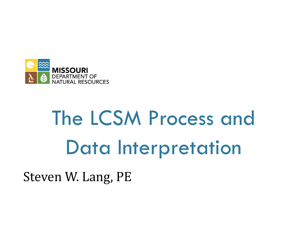

# The LCSM Process and Data Interpretation

Steven W. Lang, PE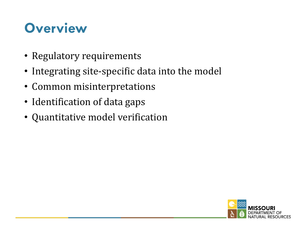#### **Overview**

- Regulatory requirements
- Integrating site-specific data into the model
- Common misinterpretations
- Identification of data gaps
- Quantitative model verification

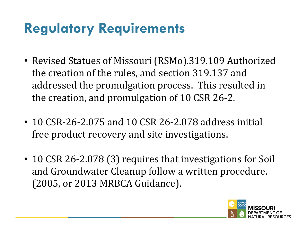#### **Regulatory Requirements**

- Revised Statues of Missouri (RSMo).319.109 Authorized the creation of the rules, and section 319.137 and addressed the promulgation process. This resulted in the creation, and promulgation of 10 CSR 26-2.
- 10 CSR-26-2.075 and 10 CSR 26-2.078 address initial free product recovery and site investigations.
- 10 CSR 26-2.078 (3) requires that investigations for Soil and Groundwater Cleanup follow a written procedure. (2005, or 2013 MRBCA Guidance).

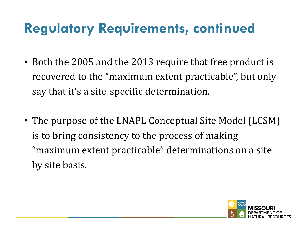#### **Regulatory Requirements, continued**

- Both the 2005 and the 2013 require that free product is recovered to the "maximum extent practicable", but only say that it's a site-specific determination.
- The purpose of the LNAPL Conceptual Site Model (LCSM) is to bring consistency to the process of making "maximum extent practicable" determinations on a site by site basis.

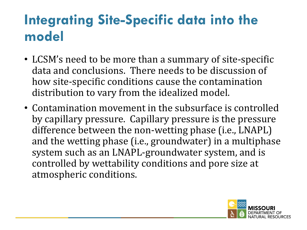#### **Integrating Site-Specific data into the model**

- LCSM's need to be more than a summary of site-specific data and conclusions. There needs to be discussion of how site-specific conditions cause the contamination distribution to vary from the idealized model.
- Contamination movement in the subsurface is controlled by capillary pressure. Capillary pressure is the pressure difference between the non-wetting phase (i.e., LNAPL) and the wetting phase (i.e., groundwater) in a multiphase system such as an LNAPL-groundwater system, and is controlled by wettability conditions and pore size at atmospheric conditions.

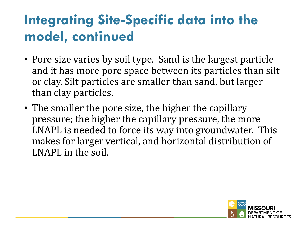- Pore size varies by soil type. Sand is the largest particle and it has more pore space between its particles than silt or clay. Silt particles are smaller than sand, but larger than clay particles.
- The smaller the pore size, the higher the capillary pressure; the higher the capillary pressure, the more LNAPL is needed to force its way into groundwater. This makes for larger vertical, and horizontal distribution of LNAPL in the soil.

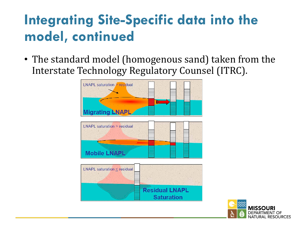• The standard model (homogenous sand) taken from the Interstate Technology Regulatory Counsel (ITRC).



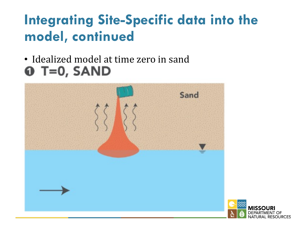#### • Idealized model at time zero in sand  $\mathbf 0$  T=0, SAND



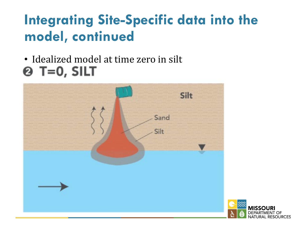#### • Idealized model at time zero in silt  $Q$  T=0, SILT



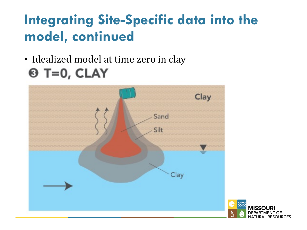#### • Idealized model at time zero in clay  $\Theta$  T=0, CLAY



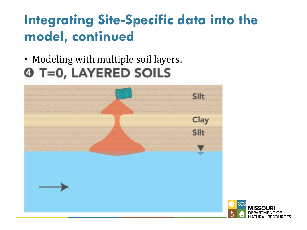#### • Modeling with multiple soil layers. **4 T=0, LAYERED SOILS**



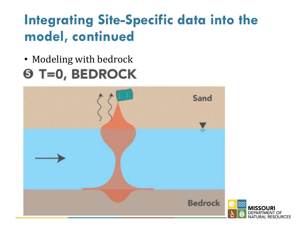#### • Modeling with bedrock **6 T=0, BEDROCK**



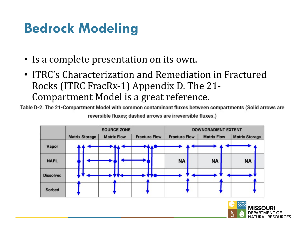#### **Bedrock Modeling**

- Is a complete presentation on its own.
- ITRC's Characterization and Remediation in Fractured Rocks (ITRC FracRx-1) Appendix D. The 21-Compartment Model is a great reference.

Table D-2. The 21-Compartment Model with common contaminant fluxes between compartments (Solid arrows are reversible fluxes; dashed arrows are irreversible fluxes.)



**RESOURCES**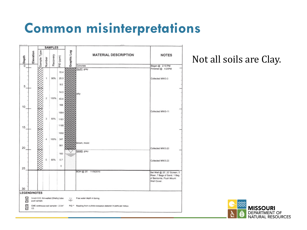#### **Common misinterpretations**



Not all soils are Clay.

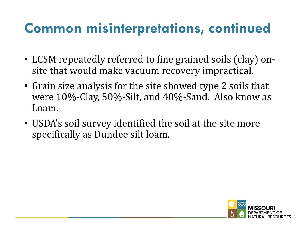- LCSM repeatedly referred to fine grained soils (clay) onsite that would make vacuum recovery impractical.
- Grain size analysis for the site showed type 2 soils that were  $10\%$ -Clay, 50%-Silt, and 40%-Sand. Also know as Loam.
- USDA's soil survey identified the soil at the site more specifically as Dundee silt loam.

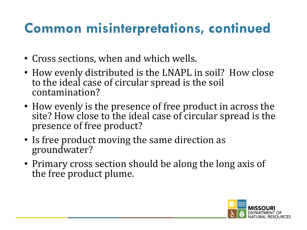- Cross sections, when and which wells.
- How evenly distributed is the LNAPL in soil? How close to the ideal case of circular spread is the soil contamination?
- How evenly is the presence of free product in across the site? How close to the ideal case of circular spread is the presence of free product?
- Is free product moving the same direction as groundwater?
- Primary cross section should be along the long axis of the free product plume.

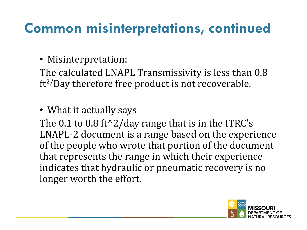#### • Misinterpretation:

The calculated LNAPL Transmissivity is less than 0.8  $ft^2/Day$  therefore free product is not recoverable.

• What it actually says

The  $0.1$  to  $0.8$  ft<sup> $\lambda$ </sup>2/day range that is in the ITRC's LNAPL-2 document is a range based on the experience of the people who wrote that portion of the document that represents the range in which their experience indicates that hydraulic or pneumatic recovery is no longer worth the effort.

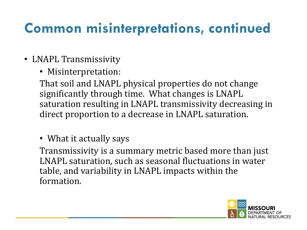- LNAPL Transmissivity
	- Misinterpretation:

That soil and LNAPL physical properties do not change significantly through time. What changes is LNAPL saturation resulting in LNAPL transmissivity decreasing in direct proportion to a decrease in LNAPL saturation.

• What it actually says

Transmissivity is a summary metric based more than just LNAPL saturation, such as seasonal fluctuations in water table, and variability in LNAPL impacts within the formation. 

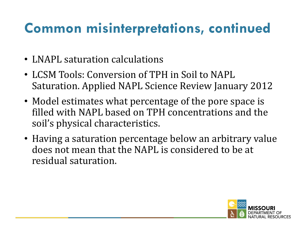- LNAPL saturation calculations
- LCSM Tools: Conversion of TPH in Soil to NAPL Saturation. Applied NAPL Science Review January 2012
- Model estimates what percentage of the pore space is filled with NAPL based on TPH concentrations and the soil's physical characteristics.
- Having a saturation percentage below an arbitrary value does not mean that the NAPL is considered to be at residual saturation.

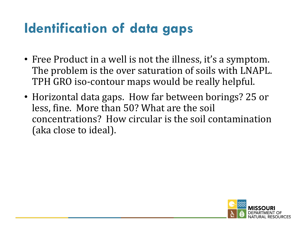### **Identification of data gaps**

- Free Product in a well is not the illness, it's a symptom. The problem is the over saturation of soils with LNAPL. TPH GRO iso-contour maps would be really helpful.
- Horizontal data gaps. How far between borings? 25 or less, fine. More than 50? What are the soil concentrations? How circular is the soil contamination (aka close to ideal).

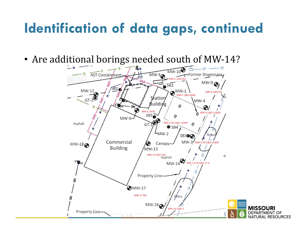#### **Identification of data gaps, continued**

• Are additional borings needed south of MW-14?

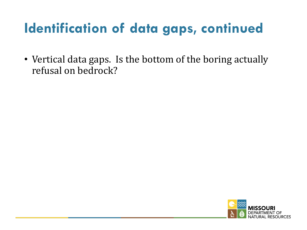# **Identification of data gaps, continued**

• Vertical data gaps. Is the bottom of the boring actually refusal on bedrock?

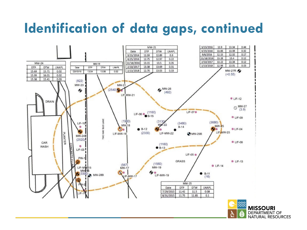# **Identification of data gaps, continued**



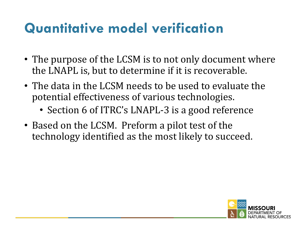#### **Quantitative model verification**

- The purpose of the LCSM is to not only document where the LNAPL is, but to determine if it is recoverable.
- The data in the LCSM needs to be used to evaluate the potential effectiveness of various technologies.
	- Section 6 of ITRC's LNAPL-3 is a good reference
- Based on the LCSM. Preform a pilot test of the technology identified as the most likely to succeed.